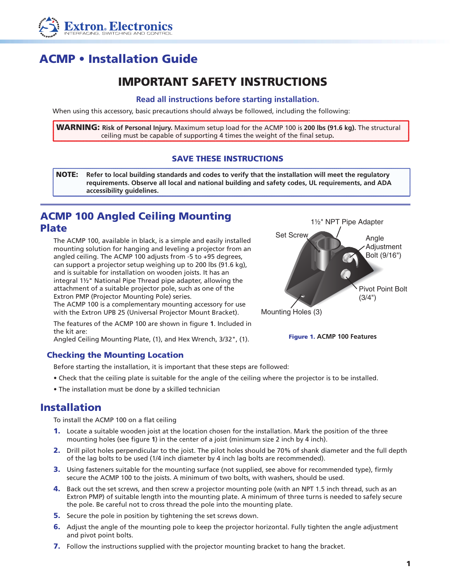

# ACMP • Installation Guide

## IMPORTANT SAFETY INSTRUCTIONS

#### **Read all instructions before starting installation.**

When using this accessory, basic precautions should always be followed, including the following:

WARNING: **Risk of Personal Injury.** Maximum setup load for the ACMP 100 is **200 lbs (91.6 kg).** The structural ceiling must be capable of supporting 4 times the weight of the final setup**.**

### SAVE THESE INSTRUCTIONS

NOTE: **Refer to local building standards and codes to verify that the installation will meet the regulatory requirements. Observe all local and national building and safety codes, UL requirements, and ADA accessibility guidelines.**

## ACMP 100 Angled Ceiling Mounting Plate

The ACMP 100, available in black, is a simple and easily installed mounting solution for hanging and leveling a projector from an angled ceiling. The ACMP 100 adjusts from -5 to +95 degrees, can support a projector setup weighing up to 200 lbs (91.6 kg), and is suitable for installation on wooden joists. It has an integral 1½" National Pipe Thread pipe adapter, allowing the attachment of a suitable projector pole, such as one of the Extron PMP (Projector Mounting Pole) series.

The ACMP 100 is a complementary mounting accessory for use with the Extron UPB 25 (Universal Projector Mount Bracket).

The features of the ACMP 100 are shown in figure **1**. Included in the kit are:

Angled Ceiling Mounting Plate, (1), and Hex Wrench, 3/32", (1).

### Checking the Mounting Location

Before starting the installation, it is important that these steps are followed:

- Check that the ceiling plate is suitable for the angle of the ceiling where the projector is to be installed.
- The installation must be done by a skilled technician

## Installation

To install the ACMP 100 on a flat ceiling

- 1. Locate a suitable wooden joist at the location chosen for the installation. Mark the position of the three mounting holes (see figure **1**) in the center of a joist (minimum size 2 inch by 4 inch).
- 2. Drill pilot holes perpendicular to the joist. The pilot holes should be 70% of shank diameter and the full depth of the lag bolts to be used (1/4 inch diameter by 4 inch lag bolts are recommended).
- 3. Using fasteners suitable for the mounting surface (not supplied, see above for recommended type), firmly secure the ACMP 100 to the joists. A minimum of two bolts, with washers, should be used.
- 4. Back out the set screws, and then screw a projector mounting pole (with an NPT 1.5 inch thread, such as an Extron PMP) of suitable length into the mounting plate. A minimum of three turns is needed to safely secure the pole. Be careful not to cross thread the pole into the mounting plate.
- 5. Secure the pole in position by tightening the set screws down.
- 6. Adjust the angle of the mounting pole to keep the projector horizontal. Fully tighten the angle adjustment and pivot point bolts.
- **7.** Follow the instructions supplied with the projector mounting bracket to hang the bracket.